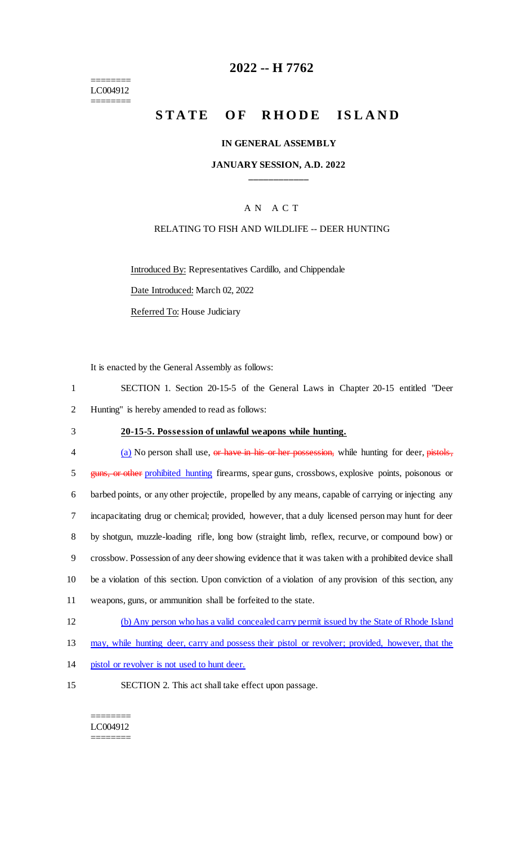======== LC004912 ========

## **2022 -- H 7762**

# **STATE OF RHODE ISLAND**

#### **IN GENERAL ASSEMBLY**

#### **JANUARY SESSION, A.D. 2022 \_\_\_\_\_\_\_\_\_\_\_\_**

#### A N A C T

#### RELATING TO FISH AND WILDLIFE -- DEER HUNTING

Introduced By: Representatives Cardillo, and Chippendale

Date Introduced: March 02, 2022

Referred To: House Judiciary

It is enacted by the General Assembly as follows:

| SECTION 1. Section 20-15-5 of the General Laws in Chapter 20-15 entitled "Deer" |  |  |  |  |  |
|---------------------------------------------------------------------------------|--|--|--|--|--|
| 2 Hunting" is hereby amended to read as follows:                                |  |  |  |  |  |

### 3 **20-15-5. Possession of unlawful weapons while hunting.**

4 (a) No person shall use, or have in his or her possession, while hunting for deer, pistols, 5 guns, or other prohibited hunting firearms, spear guns, crossbows, explosive points, poisonous or barbed points, or any other projectile, propelled by any means, capable of carrying or injecting any incapacitating drug or chemical; provided, however, that a duly licensed person may hunt for deer by shotgun, muzzle-loading rifle, long bow (straight limb, reflex, recurve, or compound bow) or crossbow. Possession of any deer showing evidence that it was taken with a prohibited device shall be a violation of this section. Upon conviction of a violation of any provision of this section, any weapons, guns, or ammunition shall be forfeited to the state.

- 12 (b) Any person who has a valid concealed carry permit issued by the State of Rhode Island
- 13 may, while hunting deer, carry and possess their pistol or revolver; provided, however, that the
- 14 pistol or revolver is not used to hunt deer.
- 15 SECTION 2. This act shall take effect upon passage.

#### ======== LC004912 ========